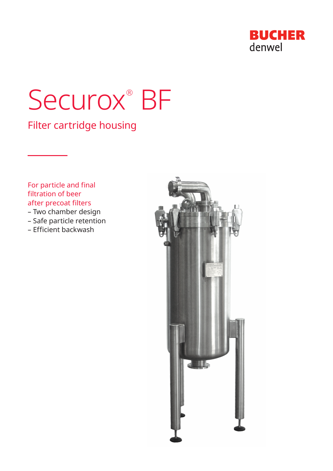

# Securox<sup>®</sup> BF

Filter cartridge housing

For particle and final filtration of beer after precoat filters

- Two chamber design
- Safe particle retention
- Efficient backwash